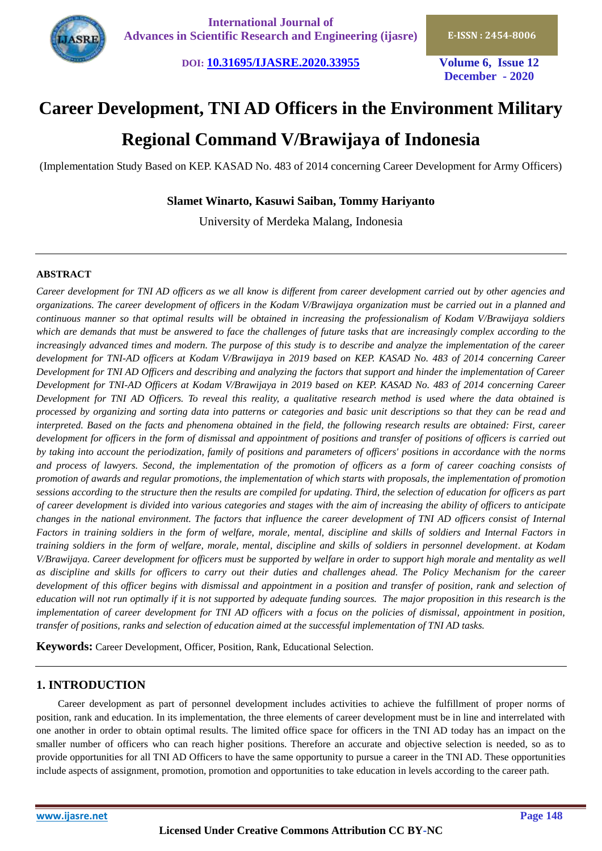

**DOI: [10.31695/IJASRE.2020.33955](http://doi.org/10.31695/IJASRE.2020.33955) Volume 6, Issue 12**

**December - 2020**

# **Career Development, TNI AD Officers in the Environment Military Regional Command V/Brawijaya of Indonesia**

(Implementation Study Based on KEP. KASAD No. 483 of 2014 concerning Career Development for Army Officers)

# **Slamet Winarto, Kasuwi Saiban, Tommy Hariyanto**

University of Merdeka Malang, Indonesia

## **ABSTRACT**

*Career development for TNI AD officers as we all know is different from career development carried out by other agencies and organizations. The career development of officers in the Kodam V/Brawijaya organization must be carried out in a planned and continuous manner so that optimal results will be obtained in increasing the professionalism of Kodam V/Brawijaya soldiers which are demands that must be answered to face the challenges of future tasks that are increasingly complex according to the increasingly advanced times and modern. The purpose of this study is to describe and analyze the implementation of the career development for TNI-AD officers at Kodam V/Brawijaya in 2019 based on KEP. KASAD No. 483 of 2014 concerning Career Development for TNI AD Officers and describing and analyzing the factors that support and hinder the implementation of Career Development for TNI-AD Officers at Kodam V/Brawijaya in 2019 based on KEP. KASAD No. 483 of 2014 concerning Career Development for TNI AD Officers. To reveal this reality, a qualitative research method is used where the data obtained is processed by organizing and sorting data into patterns or categories and basic unit descriptions so that they can be read and interpreted. Based on the facts and phenomena obtained in the field, the following research results are obtained: First, career development for officers in the form of dismissal and appointment of positions and transfer of positions of officers is carried out by taking into account the periodization, family of positions and parameters of officers' positions in accordance with the norms and process of lawyers. Second, the implementation of the promotion of officers as a form of career coaching consists of promotion of awards and regular promotions, the implementation of which starts with proposals, the implementation of promotion sessions according to the structure then the results are compiled for updating. Third, the selection of education for officers as part of career development is divided into various categories and stages with the aim of increasing the ability of officers to anticipate changes in the national environment. The factors that influence the career development of TNI AD officers consist of Internal Factors in training soldiers in the form of welfare, morale, mental, discipline and skills of soldiers and Internal Factors in training soldiers in the form of welfare, morale, mental, discipline and skills of soldiers in personnel development. at Kodam V/Brawijaya. Career development for officers must be supported by welfare in order to support high morale and mentality as well as discipline and skills for officers to carry out their duties and challenges ahead. The Policy Mechanism for the career development of this officer begins with dismissal and appointment in a position and transfer of position, rank and selection of education will not run optimally if it is not supported by adequate funding sources. The major proposition in this research is the implementation of career development for TNI AD officers with a focus on the policies of dismissal, appointment in position, transfer of positions, ranks and selection of education aimed at the successful implementation of TNI AD tasks.*

**Keywords:** Career Development, Officer, Position, Rank, Educational Selection.

# **1. INTRODUCTION**

Career development as part of personnel development includes activities to achieve the fulfillment of proper norms of position, rank and education. In its implementation, the three elements of career development must be in line and interrelated with one another in order to obtain optimal results. The limited office space for officers in the TNI AD today has an impact on the smaller number of officers who can reach higher positions. Therefore an accurate and objective selection is needed, so as to provide opportunities for all TNI AD Officers to have the same opportunity to pursue a career in the TNI AD. These opportunities include aspects of assignment, promotion, promotion and opportunities to take education in levels according to the career path.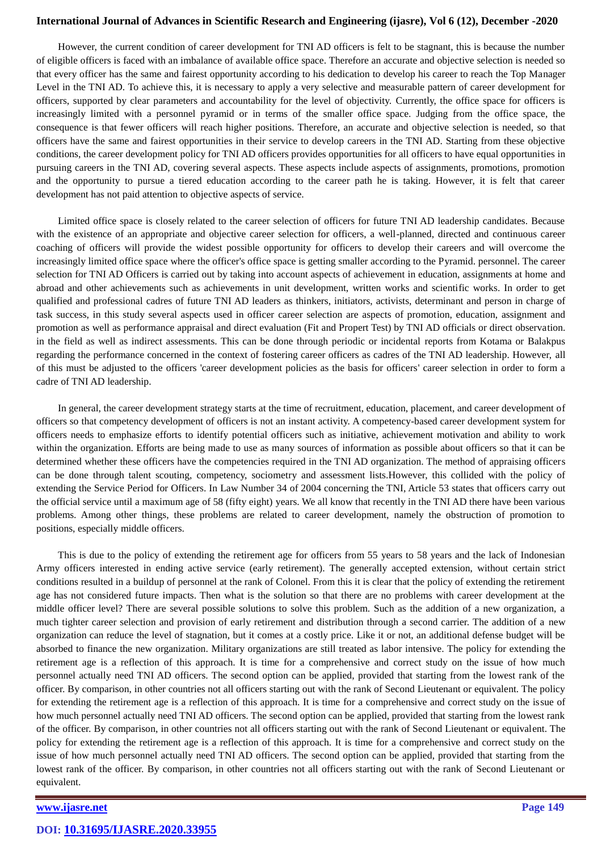However, the current condition of career development for TNI AD officers is felt to be stagnant, this is because the number of eligible officers is faced with an imbalance of available office space. Therefore an accurate and objective selection is needed so that every officer has the same and fairest opportunity according to his dedication to develop his career to reach the Top Manager Level in the TNI AD. To achieve this, it is necessary to apply a very selective and measurable pattern of career development for officers, supported by clear parameters and accountability for the level of objectivity. Currently, the office space for officers is increasingly limited with a personnel pyramid or in terms of the smaller office space. Judging from the office space, the consequence is that fewer officers will reach higher positions. Therefore, an accurate and objective selection is needed, so that officers have the same and fairest opportunities in their service to develop careers in the TNI AD. Starting from these objective conditions, the career development policy for TNI AD officers provides opportunities for all officers to have equal opportunities in pursuing careers in the TNI AD, covering several aspects. These aspects include aspects of assignments, promotions, promotion and the opportunity to pursue a tiered education according to the career path he is taking. However, it is felt that career development has not paid attention to objective aspects of service.

Limited office space is closely related to the career selection of officers for future TNI AD leadership candidates. Because with the existence of an appropriate and objective career selection for officers, a well-planned, directed and continuous career coaching of officers will provide the widest possible opportunity for officers to develop their careers and will overcome the increasingly limited office space where the officer's office space is getting smaller according to the Pyramid. personnel. The career selection for TNI AD Officers is carried out by taking into account aspects of achievement in education, assignments at home and abroad and other achievements such as achievements in unit development, written works and scientific works. In order to get qualified and professional cadres of future TNI AD leaders as thinkers, initiators, activists, determinant and person in charge of task success, in this study several aspects used in officer career selection are aspects of promotion, education, assignment and promotion as well as performance appraisal and direct evaluation (Fit and Propert Test) by TNI AD officials or direct observation. in the field as well as indirect assessments. This can be done through periodic or incidental reports from Kotama or Balakpus regarding the performance concerned in the context of fostering career officers as cadres of the TNI AD leadership. However, all of this must be adjusted to the officers 'career development policies as the basis for officers' career selection in order to form a cadre of TNI AD leadership.

In general, the career development strategy starts at the time of recruitment, education, placement, and career development of officers so that competency development of officers is not an instant activity. A competency-based career development system for officers needs to emphasize efforts to identify potential officers such as initiative, achievement motivation and ability to work within the organization. Efforts are being made to use as many sources of information as possible about officers so that it can be determined whether these officers have the competencies required in the TNI AD organization. The method of appraising officers can be done through talent scouting, competency, sociometry and assessment lists.However, this collided with the policy of extending the Service Period for Officers. In Law Number 34 of 2004 concerning the TNI, Article 53 states that officers carry out the official service until a maximum age of 58 (fifty eight) years. We all know that recently in the TNI AD there have been various problems. Among other things, these problems are related to career development, namely the obstruction of promotion to positions, especially middle officers.

This is due to the policy of extending the retirement age for officers from 55 years to 58 years and the lack of Indonesian Army officers interested in ending active service (early retirement). The generally accepted extension, without certain strict conditions resulted in a buildup of personnel at the rank of Colonel. From this it is clear that the policy of extending the retirement age has not considered future impacts. Then what is the solution so that there are no problems with career development at the middle officer level? There are several possible solutions to solve this problem. Such as the addition of a new organization, a much tighter career selection and provision of early retirement and distribution through a second carrier. The addition of a new organization can reduce the level of stagnation, but it comes at a costly price. Like it or not, an additional defense budget will be absorbed to finance the new organization. Military organizations are still treated as labor intensive. The policy for extending the retirement age is a reflection of this approach. It is time for a comprehensive and correct study on the issue of how much personnel actually need TNI AD officers. The second option can be applied, provided that starting from the lowest rank of the officer. By comparison, in other countries not all officers starting out with the rank of Second Lieutenant or equivalent. The policy for extending the retirement age is a reflection of this approach. It is time for a comprehensive and correct study on the issue of how much personnel actually need TNI AD officers. The second option can be applied, provided that starting from the lowest rank of the officer. By comparison, in other countries not all officers starting out with the rank of Second Lieutenant or equivalent. The policy for extending the retirement age is a reflection of this approach. It is time for a comprehensive and correct study on the issue of how much personnel actually need TNI AD officers. The second option can be applied, provided that starting from the lowest rank of the officer. By comparison, in other countries not all officers starting out with the rank of Second Lieutenant or equivalent.

# *[www.ijasre.net](../../../ijasre-19/vol%205-5/published%20papers/www.ijasre.net)* Page 149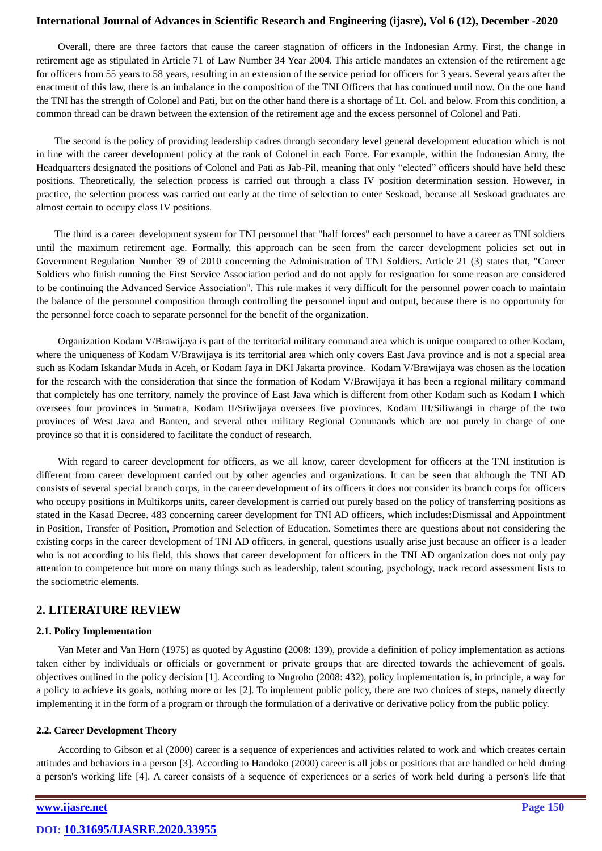Overall, there are three factors that cause the career stagnation of officers in the Indonesian Army. First, the change in retirement age as stipulated in Article 71 of Law Number 34 Year 2004. This article mandates an extension of the retirement age for officers from 55 years to 58 years, resulting in an extension of the service period for officers for 3 years. Several years after the enactment of this law, there is an imbalance in the composition of the TNI Officers that has continued until now. On the one hand the TNI has the strength of Colonel and Pati, but on the other hand there is a shortage of Lt. Col. and below. From this condition, a common thread can be drawn between the extension of the retirement age and the excess personnel of Colonel and Pati.

The second is the policy of providing leadership cadres through secondary level general development education which is not in line with the career development policy at the rank of Colonel in each Force. For example, within the Indonesian Army, the Headquarters designated the positions of Colonel and Pati as Jab-Pil, meaning that only "elected" officers should have held these positions. Theoretically, the selection process is carried out through a class IV position determination session. However, in practice, the selection process was carried out early at the time of selection to enter Seskoad, because all Seskoad graduates are almost certain to occupy class IV positions.

The third is a career development system for TNI personnel that "half forces" each personnel to have a career as TNI soldiers until the maximum retirement age. Formally, this approach can be seen from the career development policies set out in Government Regulation Number 39 of 2010 concerning the Administration of TNI Soldiers. Article 21 (3) states that, "Career Soldiers who finish running the First Service Association period and do not apply for resignation for some reason are considered to be continuing the Advanced Service Association". This rule makes it very difficult for the personnel power coach to maintain the balance of the personnel composition through controlling the personnel input and output, because there is no opportunity for the personnel force coach to separate personnel for the benefit of the organization.

Organization Kodam V/Brawijaya is part of the territorial military command area which is unique compared to other Kodam, where the uniqueness of Kodam V/Brawijaya is its territorial area which only covers East Java province and is not a special area such as Kodam Iskandar Muda in Aceh, or Kodam Jaya in DKI Jakarta province. Kodam V/Brawijaya was chosen as the location for the research with the consideration that since the formation of Kodam V/Brawijaya it has been a regional military command that completely has one territory, namely the province of East Java which is different from other Kodam such as Kodam I which oversees four provinces in Sumatra, Kodam II/Sriwijaya oversees five provinces, Kodam III/Siliwangi in charge of the two provinces of West Java and Banten, and several other military Regional Commands which are not purely in charge of one province so that it is considered to facilitate the conduct of research.

With regard to career development for officers, as we all know, career development for officers at the TNI institution is different from career development carried out by other agencies and organizations. It can be seen that although the TNI AD consists of several special branch corps, in the career development of its officers it does not consider its branch corps for officers who occupy positions in Multikorps units, career development is carried out purely based on the policy of transferring positions as stated in the Kasad Decree. 483 concerning career development for TNI AD officers, which includes:Dismissal and Appointment in Position, Transfer of Position, Promotion and Selection of Education. Sometimes there are questions about not considering the existing corps in the career development of TNI AD officers, in general, questions usually arise just because an officer is a leader who is not according to his field, this shows that career development for officers in the TNI AD organization does not only pay attention to competence but more on many things such as leadership, talent scouting, psychology, track record assessment lists to the sociometric elements.

# **2. LITERATURE REVIEW**

## **2.1. Policy Implementation**

Van Meter and Van Horn (1975) as quoted by Agustino (2008: 139), provide a definition of policy implementation as actions taken either by individuals or officials or government or private groups that are directed towards the achievement of goals. objectives outlined in the policy decision [1]. According to Nugroho (2008: 432), policy implementation is, in principle, a way for a policy to achieve its goals, nothing more or les [2]. To implement public policy, there are two choices of steps, namely directly implementing it in the form of a program or through the formulation of a derivative or derivative policy from the public policy.

## **2.2. Career Development Theory**

According to Gibson et al (2000) career is a sequence of experiences and activities related to work and which creates certain attitudes and behaviors in a person [3]. According to Handoko (2000) career is all jobs or positions that are handled or held during a person's working life [4]. A career consists of a sequence of experiences or a series of work held during a person's life that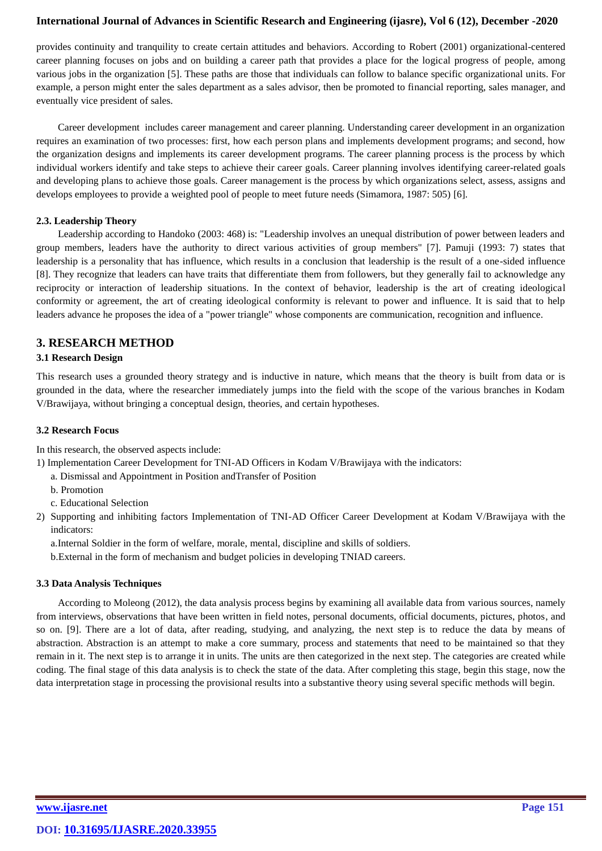provides continuity and tranquility to create certain attitudes and behaviors. According to Robert (2001) organizational-centered career planning focuses on jobs and on building a career path that provides a place for the logical progress of people, among various jobs in the organization [5]. These paths are those that individuals can follow to balance specific organizational units. For example, a person might enter the sales department as a sales advisor, then be promoted to financial reporting, sales manager, and eventually vice president of sales.

Career development includes career management and career planning. Understanding career development in an organization requires an examination of two processes: first, how each person plans and implements development programs; and second, how the organization designs and implements its career development programs. The career planning process is the process by which individual workers identify and take steps to achieve their career goals. Career planning involves identifying career-related goals and developing plans to achieve those goals. Career management is the process by which organizations select, assess, assigns and develops employees to provide a weighted pool of people to meet future needs (Simamora, 1987: 505) [6].

#### **2.3. Leadership Theory**

Leadership according to Handoko (2003: 468) is: "Leadership involves an unequal distribution of power between leaders and group members, leaders have the authority to direct various activities of group members" [7]. Pamuji (1993: 7) states that leadership is a personality that has influence, which results in a conclusion that leadership is the result of a one-sided influence [8]. They recognize that leaders can have traits that differentiate them from followers, but they generally fail to acknowledge any reciprocity or interaction of leadership situations. In the context of behavior, leadership is the art of creating ideological conformity or agreement, the art of creating ideological conformity is relevant to power and influence. It is said that to help leaders advance he proposes the idea of a "power triangle" whose components are communication, recognition and influence.

## **3. RESEARCH METHOD**

#### **3.1 Research Design**

This research uses a grounded theory strategy and is inductive in nature, which means that the theory is built from data or is grounded in the data, where the researcher immediately jumps into the field with the scope of the various branches in Kodam V/Brawijaya, without bringing a conceptual design, theories, and certain hypotheses.

#### **3.2 Research Focus**

In this research, the observed aspects include:

1) Implementation Career Development for TNI-AD Officers in Kodam V/Brawijaya with the indicators:

- a. Dismissal and Appointment in Position andTransfer of Position
- b. Promotion
- c. Educational Selection

2) Supporting and inhibiting factors Implementation of TNI-AD Officer Career Development at Kodam V/Brawijaya with the indicators:

a.Internal Soldier in the form of welfare, morale, mental, discipline and skills of soldiers.

b.External in the form of mechanism and budget policies in developing TNIAD careers.

#### **3.3 Data Analysis Techniques**

According to Moleong (2012), the data analysis process begins by examining all available data from various sources, namely from interviews, observations that have been written in field notes, personal documents, official documents, pictures, photos, and so on. [9]. There are a lot of data, after reading, studying, and analyzing, the next step is to reduce the data by means of abstraction. Abstraction is an attempt to make a core summary, process and statements that need to be maintained so that they remain in it. The next step is to arrange it in units. The units are then categorized in the next step. The categories are created while coding. The final stage of this data analysis is to check the state of the data. After completing this stage, begin this stage, now the data interpretation stage in processing the provisional results into a substantive theory using several specific methods will begin.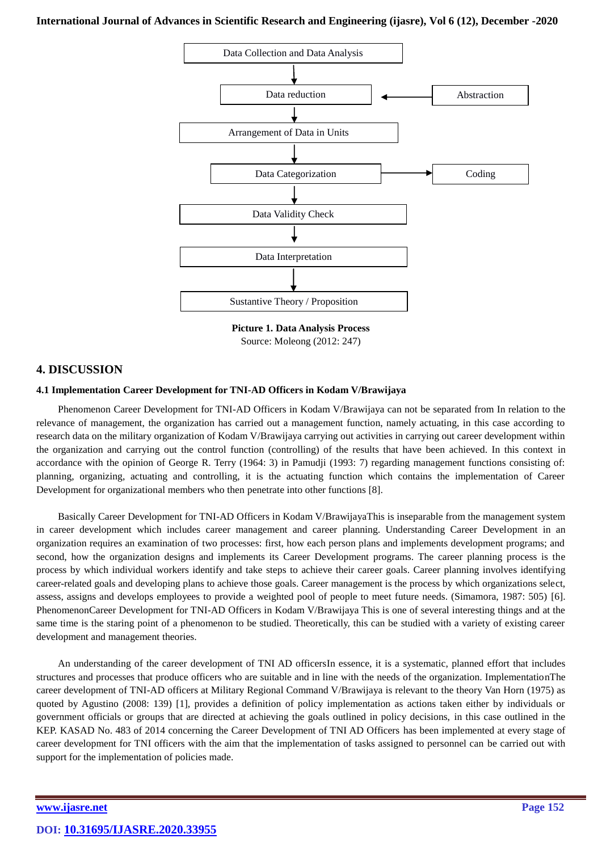

**Picture 1. Data Analysis Process** Source: Moleong (2012: 247)

# **4. DISCUSSION**

#### **4.1 Implementation Career Development for TNI-AD Officers in Kodam V/Brawijaya**

Phenomenon Career Development for TNI-AD Officers in Kodam V/Brawijaya can not be separated from In relation to the relevance of management, the organization has carried out a management function, namely actuating, in this case according to research data on the military organization of Kodam V/Brawijaya carrying out activities in carrying out career development within the organization and carrying out the control function (controlling) of the results that have been achieved. In this context in accordance with the opinion of George R. Terry (1964: 3) in Pamudji (1993: 7) regarding management functions consisting of: planning, organizing, actuating and controlling, it is the actuating function which contains the implementation of Career Development for organizational members who then penetrate into other functions [8].

Basically Career Development for TNI-AD Officers in Kodam V/BrawijayaThis is inseparable from the management system in career development which includes career management and career planning. Understanding Career Development in an organization requires an examination of two processes: first, how each person plans and implements development programs; and second, how the organization designs and implements its Career Development programs. The career planning process is the process by which individual workers identify and take steps to achieve their career goals. Career planning involves identifying career-related goals and developing plans to achieve those goals. Career management is the process by which organizations select, assess, assigns and develops employees to provide a weighted pool of people to meet future needs. (Simamora, 1987: 505) [6]. PhenomenonCareer Development for TNI-AD Officers in Kodam V/Brawijaya This is one of several interesting things and at the same time is the staring point of a phenomenon to be studied. Theoretically, this can be studied with a variety of existing career development and management theories.

An understanding of the career development of TNI AD officersIn essence, it is a systematic, planned effort that includes structures and processes that produce officers who are suitable and in line with the needs of the organization. ImplementationThe career development of TNI-AD officers at Military Regional Command V/Brawijaya is relevant to the theory Van Horn (1975) as quoted by Agustino (2008: 139) [1], provides a definition of policy implementation as actions taken either by individuals or government officials or groups that are directed at achieving the goals outlined in policy decisions, in this case outlined in the KEP. KASAD No. 483 of 2014 concerning the Career Development of TNI AD Officers has been implemented at every stage of career development for TNI officers with the aim that the implementation of tasks assigned to personnel can be carried out with support for the implementation of policies made.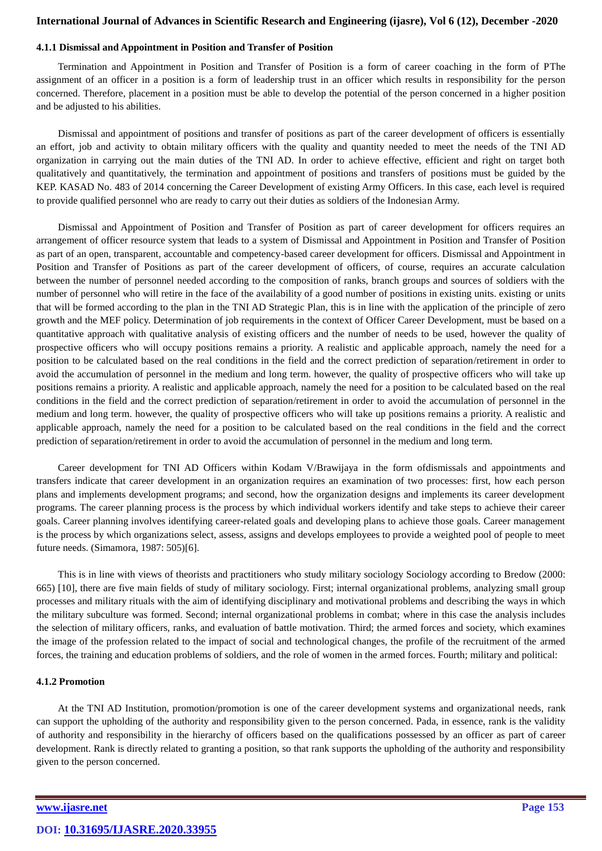# **4.1.1 Dismissal and Appointment in Position and Transfer of Position**

Termination and Appointment in Position and Transfer of Position is a form of career coaching in the form of PThe assignment of an officer in a position is a form of leadership trust in an officer which results in responsibility for the person concerned. Therefore, placement in a position must be able to develop the potential of the person concerned in a higher position and be adjusted to his abilities.

Dismissal and appointment of positions and transfer of positions as part of the career development of officers is essentially an effort, job and activity to obtain military officers with the quality and quantity needed to meet the needs of the TNI AD organization in carrying out the main duties of the TNI AD. In order to achieve effective, efficient and right on target both qualitatively and quantitatively, the termination and appointment of positions and transfers of positions must be guided by the KEP. KASAD No. 483 of 2014 concerning the Career Development of existing Army Officers. In this case, each level is required to provide qualified personnel who are ready to carry out their duties as soldiers of the Indonesian Army.

Dismissal and Appointment of Position and Transfer of Position as part of career development for officers requires an arrangement of officer resource system that leads to a system of Dismissal and Appointment in Position and Transfer of Position as part of an open, transparent, accountable and competency-based career development for officers. Dismissal and Appointment in Position and Transfer of Positions as part of the career development of officers, of course, requires an accurate calculation between the number of personnel needed according to the composition of ranks, branch groups and sources of soldiers with the number of personnel who will retire in the face of the availability of a good number of positions in existing units. existing or units that will be formed according to the plan in the TNI AD Strategic Plan, this is in line with the application of the principle of zero growth and the MEF policy. Determination of job requirements in the context of Officer Career Development, must be based on a quantitative approach with qualitative analysis of existing officers and the number of needs to be used, however the quality of prospective officers who will occupy positions remains a priority. A realistic and applicable approach, namely the need for a position to be calculated based on the real conditions in the field and the correct prediction of separation/retirement in order to avoid the accumulation of personnel in the medium and long term. however, the quality of prospective officers who will take up positions remains a priority. A realistic and applicable approach, namely the need for a position to be calculated based on the real conditions in the field and the correct prediction of separation/retirement in order to avoid the accumulation of personnel in the medium and long term. however, the quality of prospective officers who will take up positions remains a priority. A realistic and applicable approach, namely the need for a position to be calculated based on the real conditions in the field and the correct prediction of separation/retirement in order to avoid the accumulation of personnel in the medium and long term.

Career development for TNI AD Officers within Kodam V/Brawijaya in the form ofdismissals and appointments and transfers indicate that career development in an organization requires an examination of two processes: first, how each person plans and implements development programs; and second, how the organization designs and implements its career development programs. The career planning process is the process by which individual workers identify and take steps to achieve their career goals. Career planning involves identifying career-related goals and developing plans to achieve those goals. Career management is the process by which organizations select, assess, assigns and develops employees to provide a weighted pool of people to meet future needs. (Simamora, 1987: 505)[6].

This is in line with views of theorists and practitioners who study military sociology Sociology according to Bredow (2000: 665) [10], there are five main fields of study of military sociology. First; internal organizational problems, analyzing small group processes and military rituals with the aim of identifying disciplinary and motivational problems and describing the ways in which the military subculture was formed. Second; internal organizational problems in combat; where in this case the analysis includes the selection of military officers, ranks, and evaluation of battle motivation. Third; the armed forces and society, which examines the image of the profession related to the impact of social and technological changes, the profile of the recruitment of the armed forces, the training and education problems of soldiers, and the role of women in the armed forces. Fourth; military and political:

#### **4.1.2 Promotion**

At the TNI AD Institution, promotion/promotion is one of the career development systems and organizational needs, rank can support the upholding of the authority and responsibility given to the person concerned. Pada, in essence, rank is the validity of authority and responsibility in the hierarchy of officers based on the qualifications possessed by an officer as part of career development. Rank is directly related to granting a position, so that rank supports the upholding of the authority and responsibility given to the person concerned.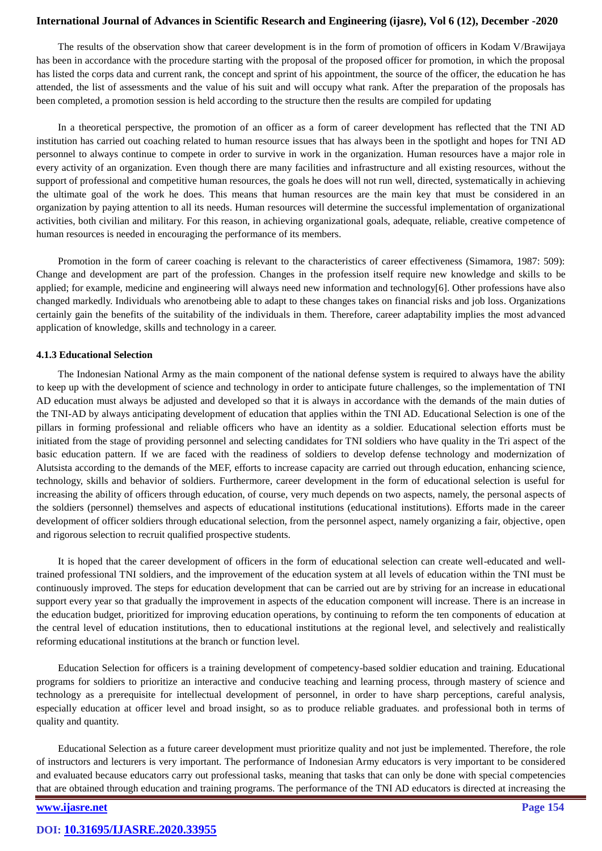The results of the observation show that career development is in the form of promotion of officers in Kodam V/Brawijaya has been in accordance with the procedure starting with the proposal of the proposed officer for promotion, in which the proposal has listed the corps data and current rank, the concept and sprint of his appointment, the source of the officer, the education he has attended, the list of assessments and the value of his suit and will occupy what rank. After the preparation of the proposals has been completed, a promotion session is held according to the structure then the results are compiled for updating

In a theoretical perspective, the promotion of an officer as a form of career development has reflected that the TNI AD institution has carried out coaching related to human resource issues that has always been in the spotlight and hopes for TNI AD personnel to always continue to compete in order to survive in work in the organization. Human resources have a major role in every activity of an organization. Even though there are many facilities and infrastructure and all existing resources, without the support of professional and competitive human resources, the goals he does will not run well, directed, systematically in achieving the ultimate goal of the work he does. This means that human resources are the main key that must be considered in an organization by paying attention to all its needs. Human resources will determine the successful implementation of organizational activities, both civilian and military. For this reason, in achieving organizational goals, adequate, reliable, creative competence of human resources is needed in encouraging the performance of its members.

Promotion in the form of career coaching is relevant to the characteristics of career effectiveness (Simamora, 1987: 509): Change and development are part of the profession. Changes in the profession itself require new knowledge and skills to be applied; for example, medicine and engineering will always need new information and technology[6]. Other professions have also changed markedly. Individuals who arenotbeing able to adapt to these changes takes on financial risks and job loss. Organizations certainly gain the benefits of the suitability of the individuals in them. Therefore, career adaptability implies the most advanced application of knowledge, skills and technology in a career.

#### **4.1.3 Educational Selection**

The Indonesian National Army as the main component of the national defense system is required to always have the ability to keep up with the development of science and technology in order to anticipate future challenges, so the implementation of TNI AD education must always be adjusted and developed so that it is always in accordance with the demands of the main duties of the TNI-AD by always anticipating development of education that applies within the TNI AD. Educational Selection is one of the pillars in forming professional and reliable officers who have an identity as a soldier. Educational selection efforts must be initiated from the stage of providing personnel and selecting candidates for TNI soldiers who have quality in the Tri aspect of the basic education pattern. If we are faced with the readiness of soldiers to develop defense technology and modernization of Alutsista according to the demands of the MEF, efforts to increase capacity are carried out through education, enhancing science, technology, skills and behavior of soldiers. Furthermore, career development in the form of educational selection is useful for increasing the ability of officers through education, of course, very much depends on two aspects, namely, the personal aspects of the soldiers (personnel) themselves and aspects of educational institutions (educational institutions). Efforts made in the career development of officer soldiers through educational selection, from the personnel aspect, namely organizing a fair, objective, open and rigorous selection to recruit qualified prospective students.

It is hoped that the career development of officers in the form of educational selection can create well-educated and welltrained professional TNI soldiers, and the improvement of the education system at all levels of education within the TNI must be continuously improved. The steps for education development that can be carried out are by striving for an increase in educational support every year so that gradually the improvement in aspects of the education component will increase. There is an increase in the education budget, prioritized for improving education operations, by continuing to reform the ten components of education at the central level of education institutions, then to educational institutions at the regional level, and selectively and realistically reforming educational institutions at the branch or function level.

Education Selection for officers is a training development of competency-based soldier education and training. Educational programs for soldiers to prioritize an interactive and conducive teaching and learning process, through mastery of science and technology as a prerequisite for intellectual development of personnel, in order to have sharp perceptions, careful analysis, especially education at officer level and broad insight, so as to produce reliable graduates. and professional both in terms of quality and quantity.

Educational Selection as a future career development must prioritize quality and not just be implemented. Therefore, the role of instructors and lecturers is very important. The performance of Indonesian Army educators is very important to be considered and evaluated because educators carry out professional tasks, meaning that tasks that can only be done with special competencies that are obtained through education and training programs. The performance of the TNI AD educators is directed at increasing the

# **[www.ijasre.net](../../../ijasre-19/vol%205-5/published%20papers/www.ijasre.net) Page 154**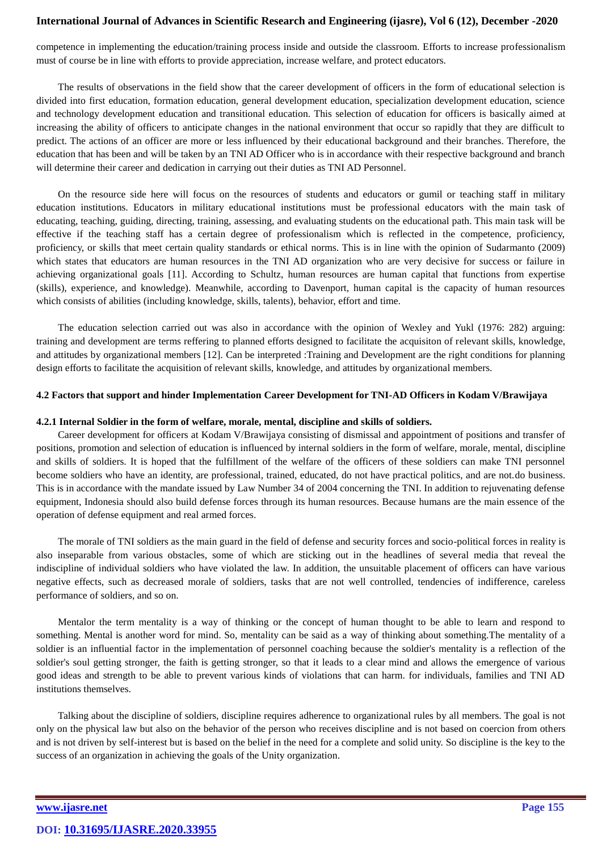competence in implementing the education/training process inside and outside the classroom. Efforts to increase professionalism must of course be in line with efforts to provide appreciation, increase welfare, and protect educators.

The results of observations in the field show that the career development of officers in the form of educational selection is divided into first education, formation education, general development education, specialization development education, science and technology development education and transitional education. This selection of education for officers is basically aimed at increasing the ability of officers to anticipate changes in the national environment that occur so rapidly that they are difficult to predict. The actions of an officer are more or less influenced by their educational background and their branches. Therefore, the education that has been and will be taken by an TNI AD Officer who is in accordance with their respective background and branch will determine their career and dedication in carrying out their duties as TNI AD Personnel.

On the resource side here will focus on the resources of students and educators or gumil or teaching staff in military education institutions. Educators in military educational institutions must be professional educators with the main task of educating, teaching, guiding, directing, training, assessing, and evaluating students on the educational path. This main task will be effective if the teaching staff has a certain degree of professionalism which is reflected in the competence, proficiency, proficiency, or skills that meet certain quality standards or ethical norms. This is in line with the opinion of Sudarmanto (2009) which states that educators are human resources in the TNI AD organization who are very decisive for success or failure in achieving organizational goals [11]. According to Schultz, human resources are human capital that functions from expertise (skills), experience, and knowledge). Meanwhile, according to Davenport, human capital is the capacity of human resources which consists of abilities (including knowledge, skills, talents), behavior, effort and time.

The education selection carried out was also in accordance with the opinion of Wexley and Yukl (1976: 282) arguing: training and development are terms reffering to planned efforts designed to facilitate the acquisiton of relevant skills, knowledge, and attitudes by organizational members [12]*.* Can be interpreted :Training and Development are the right conditions for planning design efforts to facilitate the acquisition of relevant skills, knowledge, and attitudes by organizational members.

#### **4.2 Factors that support and hinder Implementation Career Development for TNI-AD Officers in Kodam V/Brawijaya**

#### **4.2.1 Internal Soldier in the form of welfare, morale, mental, discipline and skills of soldiers.**

Career development for officers at Kodam V/Brawijaya consisting of dismissal and appointment of positions and transfer of positions, promotion and selection of education is influenced by internal soldiers in the form of welfare, morale, mental, discipline and skills of soldiers. It is hoped that the fulfillment of the welfare of the officers of these soldiers can make TNI personnel become soldiers who have an identity, are professional, trained, educated, do not have practical politics, and are not.do business. This is in accordance with the mandate issued by Law Number 34 of 2004 concerning the TNI. In addition to rejuvenating defense equipment, Indonesia should also build defense forces through its human resources. Because humans are the main essence of the operation of defense equipment and real armed forces.

The morale of TNI soldiers as the main guard in the field of defense and security forces and socio-political forces in reality is also inseparable from various obstacles, some of which are sticking out in the headlines of several media that reveal the indiscipline of individual soldiers who have violated the law. In addition, the unsuitable placement of officers can have various negative effects, such as decreased morale of soldiers, tasks that are not well controlled, tendencies of indifference, careless performance of soldiers, and so on.

Mentalor the term mentality is a way of thinking or the concept of human thought to be able to learn and respond to something. Mental is another word for mind. So, mentality can be said as a way of thinking about something.The mentality of a soldier is an influential factor in the implementation of personnel coaching because the soldier's mentality is a reflection of the soldier's soul getting stronger, the faith is getting stronger, so that it leads to a clear mind and allows the emergence of various good ideas and strength to be able to prevent various kinds of violations that can harm. for individuals, families and TNI AD institutions themselves.

Talking about the discipline of soldiers, discipline requires adherence to organizational rules by all members. The goal is not only on the physical law but also on the behavior of the person who receives discipline and is not based on coercion from others and is not driven by self-interest but is based on the belief in the need for a complete and solid unity. So discipline is the key to the success of an organization in achieving the goals of the Unity organization.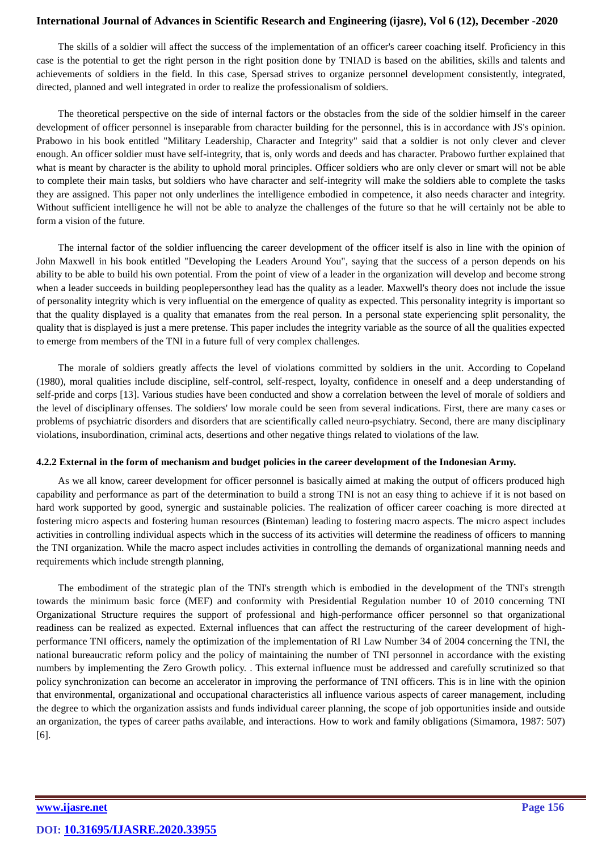The skills of a soldier will affect the success of the implementation of an officer's career coaching itself. Proficiency in this case is the potential to get the right person in the right position done by TNIAD is based on the abilities, skills and talents and achievements of soldiers in the field. In this case, Spersad strives to organize personnel development consistently, integrated, directed, planned and well integrated in order to realize the professionalism of soldiers.

The theoretical perspective on the side of internal factors or the obstacles from the side of the soldier himself in the career development of officer personnel is inseparable from character building for the personnel, this is in accordance with JS's opinion. Prabowo in his book entitled "Military Leadership, Character and Integrity" said that a soldier is not only clever and clever enough. An officer soldier must have self-integrity, that is, only words and deeds and has character. Prabowo further explained that what is meant by character is the ability to uphold moral principles. Officer soldiers who are only clever or smart will not be able to complete their main tasks, but soldiers who have character and self-integrity will make the soldiers able to complete the tasks they are assigned. This paper not only underlines the intelligence embodied in competence, it also needs character and integrity. Without sufficient intelligence he will not be able to analyze the challenges of the future so that he will certainly not be able to form a vision of the future.

The internal factor of the soldier influencing the career development of the officer itself is also in line with the opinion of John Maxwell in his book entitled "Developing the Leaders Around You", saying that the success of a person depends on his ability to be able to build his own potential. From the point of view of a leader in the organization will develop and become strong when a leader succeeds in building peoplepersonthey lead has the quality as a leader. Maxwell's theory does not include the issue of personality integrity which is very influential on the emergence of quality as expected. This personality integrity is important so that the quality displayed is a quality that emanates from the real person. In a personal state experiencing split personality, the quality that is displayed is just a mere pretense. This paper includes the integrity variable as the source of all the qualities expected to emerge from members of the TNI in a future full of very complex challenges.

The morale of soldiers greatly affects the level of violations committed by soldiers in the unit. According to Copeland (1980), moral qualities include discipline, self-control, self-respect, loyalty, confidence in oneself and a deep understanding of self-pride and corps [13]. Various studies have been conducted and show a correlation between the level of morale of soldiers and the level of disciplinary offenses. The soldiers' low morale could be seen from several indications. First, there are many cases or problems of psychiatric disorders and disorders that are scientifically called neuro-psychiatry. Second, there are many disciplinary violations, insubordination, criminal acts, desertions and other negative things related to violations of the law.

#### **4.2.2 External in the form of mechanism and budget policies in the career development of the Indonesian Army.**

As we all know, career development for officer personnel is basically aimed at making the output of officers produced high capability and performance as part of the determination to build a strong TNI is not an easy thing to achieve if it is not based on hard work supported by good, synergic and sustainable policies. The realization of officer career coaching is more directed at fostering micro aspects and fostering human resources (Binteman) leading to fostering macro aspects. The micro aspect includes activities in controlling individual aspects which in the success of its activities will determine the readiness of officers to manning the TNI organization. While the macro aspect includes activities in controlling the demands of organizational manning needs and requirements which include strength planning,

The embodiment of the strategic plan of the TNI's strength which is embodied in the development of the TNI's strength towards the minimum basic force (MEF) and conformity with Presidential Regulation number 10 of 2010 concerning TNI Organizational Structure requires the support of professional and high-performance officer personnel so that organizational readiness can be realized as expected. External influences that can affect the restructuring of the career development of highperformance TNI officers, namely the optimization of the implementation of RI Law Number 34 of 2004 concerning the TNI, the national bureaucratic reform policy and the policy of maintaining the number of TNI personnel in accordance with the existing numbers by implementing the Zero Growth policy. . This external influence must be addressed and carefully scrutinized so that policy synchronization can become an accelerator in improving the performance of TNI officers. This is in line with the opinion that environmental, organizational and occupational characteristics all influence various aspects of career management, including the degree to which the organization assists and funds individual career planning, the scope of job opportunities inside and outside an organization, the types of career paths available, and interactions. How to work and family obligations (Simamora, 1987: 507) [6].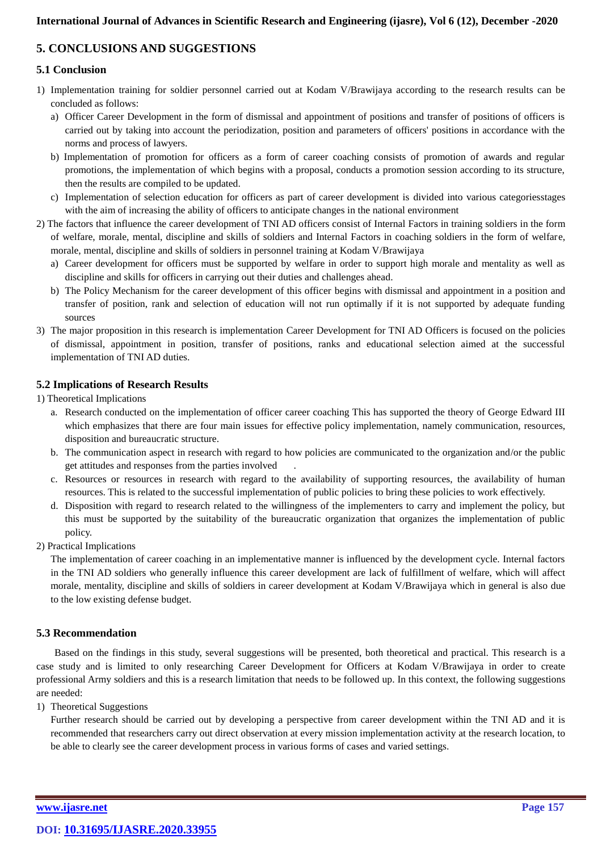# **5. CONCLUSIONS AND SUGGESTIONS**

# **5.1 Conclusion**

- 1) Implementation training for soldier personnel carried out at Kodam V/Brawijaya according to the research results can be concluded as follows:
	- a) Officer Career Development in the form of dismissal and appointment of positions and transfer of positions of officers is carried out by taking into account the periodization, position and parameters of officers' positions in accordance with the norms and process of lawyers.
	- b) Implementation of promotion for officers as a form of career coaching consists of promotion of awards and regular promotions, the implementation of which begins with a proposal, conducts a promotion session according to its structure, then the results are compiled to be updated.
	- c) Implementation of selection education for officers as part of career development is divided into various categoriesstages with the aim of increasing the ability of officers to anticipate changes in the national environment
- 2) The factors that influence the career development of TNI AD officers consist of Internal Factors in training soldiers in the form of welfare, morale, mental, discipline and skills of soldiers and Internal Factors in coaching soldiers in the form of welfare, morale, mental, discipline and skills of soldiers in personnel training at Kodam V/Brawijaya
	- a) Career development for officers must be supported by welfare in order to support high morale and mentality as well as discipline and skills for officers in carrying out their duties and challenges ahead.
	- b) The Policy Mechanism for the career development of this officer begins with dismissal and appointment in a position and transfer of position, rank and selection of education will not run optimally if it is not supported by adequate funding sources
- 3) The major proposition in this research is implementation Career Development for TNI AD Officers is focused on the policies of dismissal, appointment in position, transfer of positions, ranks and educational selection aimed at the successful implementation of TNI AD duties.

## **5.2 Implications of Research Results**

1) Theoretical Implications

- a. Research conducted on the implementation of officer career coaching This has supported the theory of George Edward III which emphasizes that there are four main issues for effective policy implementation, namely communication, resources, disposition and bureaucratic structure.
- b. The communication aspect in research with regard to how policies are communicated to the organization and/or the public get attitudes and responses from the parties involved
- c. Resources or resources in research with regard to the availability of supporting resources, the availability of human resources. This is related to the successful implementation of public policies to bring these policies to work effectively.
- d. Disposition with regard to research related to the willingness of the implementers to carry and implement the policy, but this must be supported by the suitability of the bureaucratic organization that organizes the implementation of public policy.
- 2) Practical Implications

The implementation of career coaching in an implementative manner is influenced by the development cycle. Internal factors in the TNI AD soldiers who generally influence this career development are lack of fulfillment of welfare, which will affect morale, mentality, discipline and skills of soldiers in career development at Kodam V/Brawijaya which in general is also due to the low existing defense budget.

## **5.3 Recommendation**

Based on the findings in this study, several suggestions will be presented, both theoretical and practical. This research is a case study and is limited to only researching Career Development for Officers at Kodam V/Brawijaya in order to create professional Army soldiers and this is a research limitation that needs to be followed up. In this context, the following suggestions are needed:

#### 1) Theoretical Suggestions

Further research should be carried out by developing a perspective from career development within the TNI AD and it is recommended that researchers carry out direct observation at every mission implementation activity at the research location, to be able to clearly see the career development process in various forms of cases and varied settings.